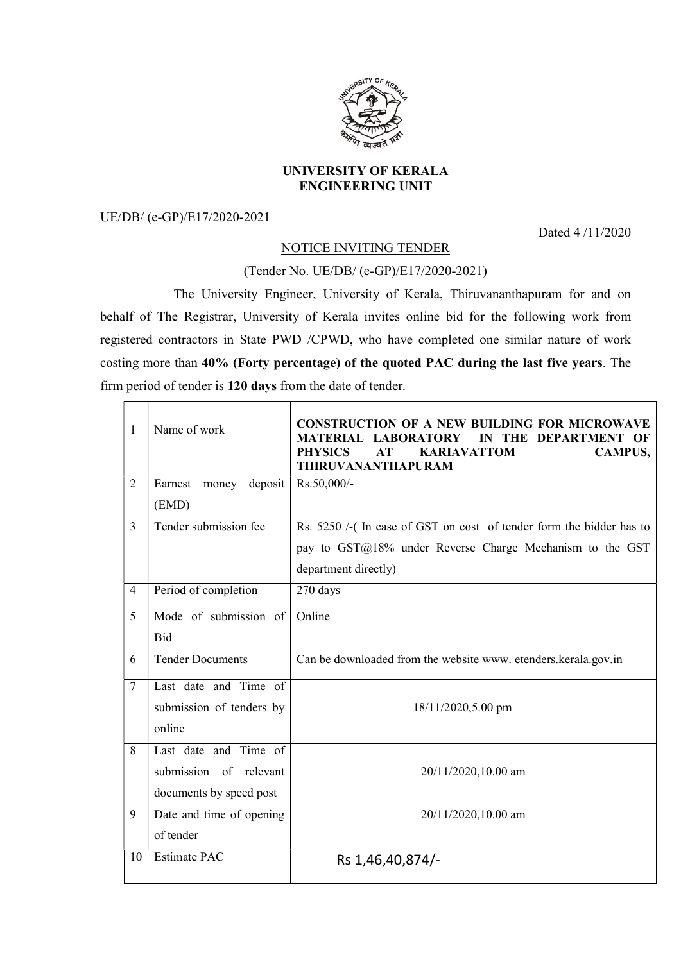

## UNIVERSITY OF KERALA ENGINEERING UNIT

UE/DB/ (e-GP)/E17/2020-2021

Dated 4 /11/2020

## NOTICE INVITING TENDER

## (Tender No. UE/DB/ (e-GP)/E17/2020-2021)

 The University Engineer, University of Kerala, Thiruvananthapuram for and on behalf of The Registrar, University of Kerala invites online bid for the following work from registered contractors in State PWD /CPWD, who have completed one similar nature of work costing more than 40% (Forty percentage) of the quoted PAC during the last five years. The firm period of tender is 120 days from the date of tender.

| 1              | Name of work                | <b>CONSTRUCTION OF A NEW BUILDING FOR MICROWAVE</b><br>MATERIAL LABORATORY<br>THE DEPARTMENT<br>IN<br><b>PHYSICS</b><br><b>KARIAVATTOM</b><br>AT<br><b>CAMPUS,</b><br>THIRUVANANTHAPURAM |
|----------------|-----------------------------|------------------------------------------------------------------------------------------------------------------------------------------------------------------------------------------|
| $\overline{2}$ | deposit<br>Earnest<br>money | Rs.50,000/-                                                                                                                                                                              |
|                | (EMD)                       |                                                                                                                                                                                          |
| 3              | Tender submission fee       | Rs. 5250 /-(In case of GST on cost of tender form the bidder has to                                                                                                                      |
|                |                             | pay to GST@18% under Reverse Charge Mechanism to the GST                                                                                                                                 |
|                |                             | department directly)                                                                                                                                                                     |
| $\overline{4}$ | Period of completion        | 270 days                                                                                                                                                                                 |
| 5              | Mode of submission of       | Online                                                                                                                                                                                   |
|                | Bid                         |                                                                                                                                                                                          |
| 6              | <b>Tender Documents</b>     | Can be downloaded from the website www. etenders.kerala.gov.in                                                                                                                           |
| $\tau$         | Last date and Time of       |                                                                                                                                                                                          |
|                | submission of tenders by    | 18/11/2020,5.00 pm                                                                                                                                                                       |
|                | online                      |                                                                                                                                                                                          |
| 8              | Last date and Time of       |                                                                                                                                                                                          |
|                | submission of relevant      | 20/11/2020,10.00 am                                                                                                                                                                      |
|                | documents by speed post     |                                                                                                                                                                                          |
| 9              | Date and time of opening    | 20/11/2020,10.00 am                                                                                                                                                                      |
|                | of tender                   |                                                                                                                                                                                          |
| 10             | <b>Estimate PAC</b>         | Rs 1,46,40,874/-                                                                                                                                                                         |
|                |                             |                                                                                                                                                                                          |